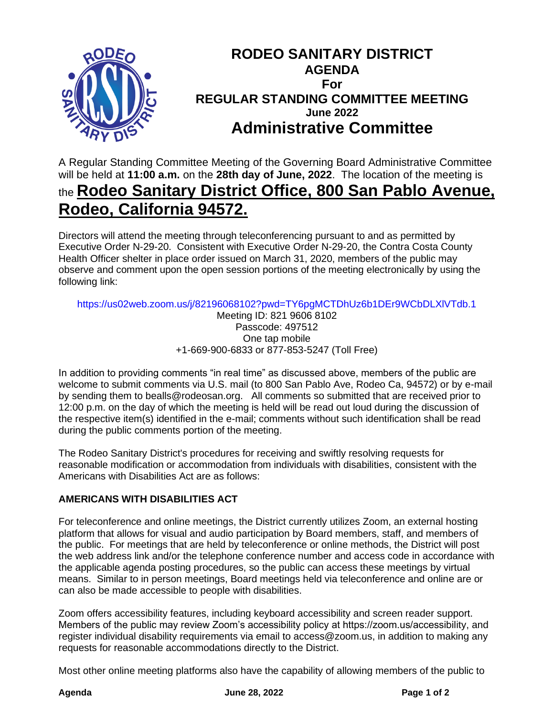

## **RODEO SANITARY DISTRICT AGENDA For REGULAR STANDING COMMITTEE MEETING June 2022 Administrative Committee**

A Regular Standing Committee Meeting of the Governing Board Administrative Committee will be held at **11:00 a.m.** on the **28th day of June, 2022**. The location of the meeting is the **Rodeo Sanitary District Office, 800 San Pablo Avenue,** 

# **Rodeo, California 94572.**

Directors will attend the meeting through teleconferencing pursuant to and as permitted by Executive Order N-29-20. Consistent with Executive Order N-29-20, the Contra Costa County Health Officer shelter in place order issued on March 31, 2020, members of the public may observe and comment upon the open session portions of the meeting electronically by using the following link:

https://us02web.zoom.us/j/82196068102?pwd=TY6pgMCTDhUz6b1DEr9WCbDLXlVTdb.1 Meeting ID: 821 9606 8102 Passcode: 497512 One tap mobile +1-669-900-6833 or 877-853-5247 (Toll Free)

In addition to providing comments "in real time" as discussed above, members of the public are welcome to submit comments via U.S. mail (to 800 San Pablo Ave, Rodeo Ca, 94572) or by e-mail by sending them to bealls@rodeosan.org. All comments so submitted that are received prior to 12:00 p.m. on the day of which the meeting is held will be read out loud during the discussion of the respective item(s) identified in the e-mail; comments without such identification shall be read during the public comments portion of the meeting.

The Rodeo Sanitary District's procedures for receiving and swiftly resolving requests for reasonable modification or accommodation from individuals with disabilities, consistent with the Americans with Disabilities Act are as follows:

### **AMERICANS WITH DISABILITIES ACT**

For teleconference and online meetings, the District currently utilizes Zoom, an external hosting platform that allows for visual and audio participation by Board members, staff, and members of the public. For meetings that are held by teleconference or online methods, the District will post the web address link and/or the telephone conference number and access code in accordance with the applicable agenda posting procedures, so the public can access these meetings by virtual means. Similar to in person meetings, Board meetings held via teleconference and online are or can also be made accessible to people with disabilities.

Zoom offers accessibility features, including keyboard accessibility and screen reader support. Members of the public may review Zoom's accessibility policy at https://zoom.us/accessibility, and register individual disability requirements via email to access@zoom.us, in addition to making any requests for reasonable accommodations directly to the District.

Most other online meeting platforms also have the capability of allowing members of the public to